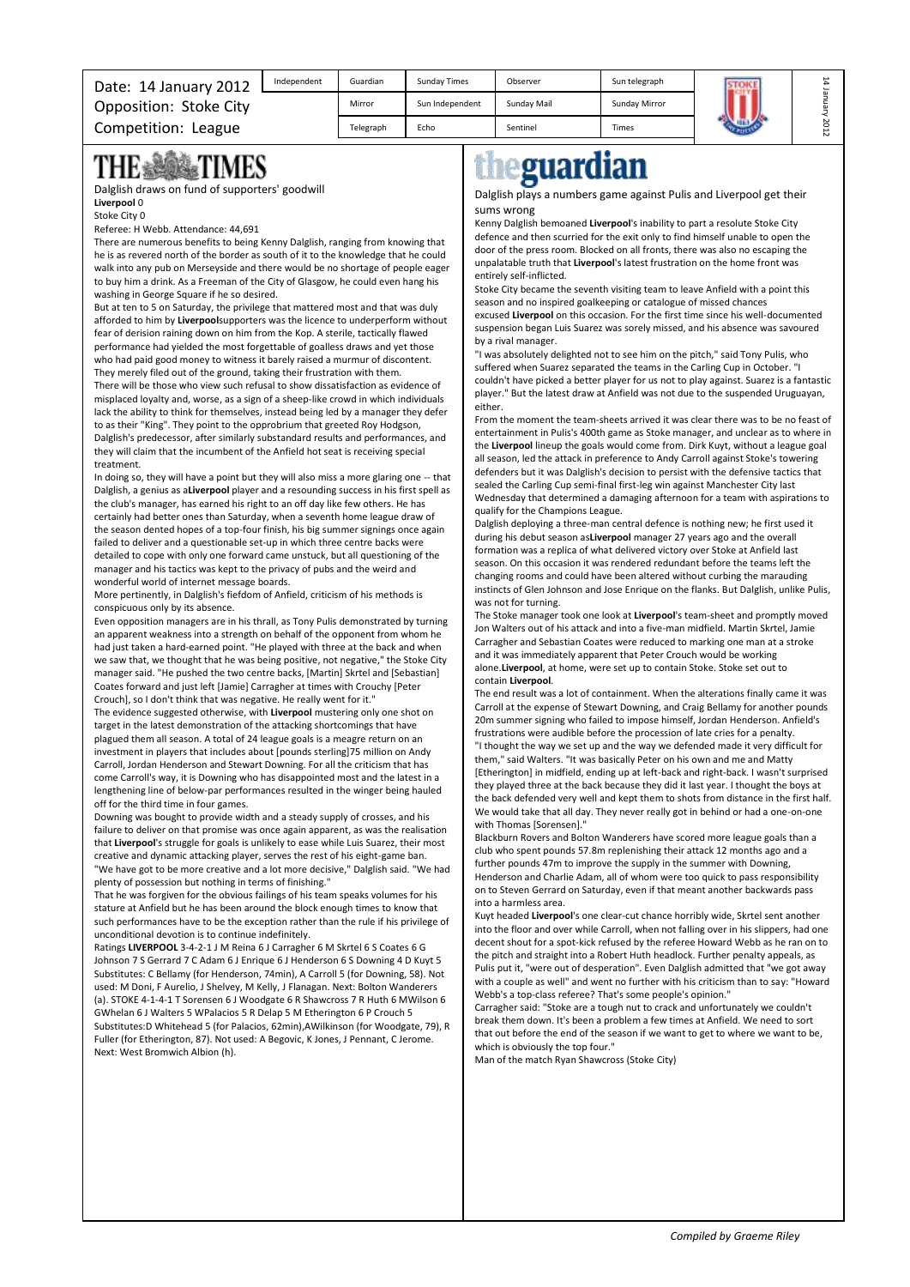| Date: 14 January 2012         | Independent | Guardian  | Sunday Times    | Observer    | Sun telegraph | <b>STOP</b> |  |
|-------------------------------|-------------|-----------|-----------------|-------------|---------------|-------------|--|
| <b>Opposition: Stoke City</b> |             | Mirror    | Sun Independent | Sunday Mail | Sunday Mirror |             |  |
| Competition: League           |             | Telegraph | Echo            | Sentinel    | Times         |             |  |

## **THE SEE TIMES**

Dalglish draws on fund of supporters' goodwill **Liverpool** 0

Stoke City 0

Referee: H Webb. Attendance: 44,691

There are numerous benefits to being Kenny Dalglish, ranging from knowing that he is as revered north of the border as south of it to the knowledge that he could walk into any pub on Merseyside and there would be no shortage of people eager to buy him a drink. As a Freeman of the City of Glasgow, he could even hang his washing in George Square if he so desired.

But at ten to 5 on Saturday, the privilege that mattered most and that was duly afforded to him by **Liverpool**supporters was the licence to underperform without fear of derision raining down on him from the Kop. A sterile, tactically flawed performance had yielded the most forgettable of goalless draws and yet those who had paid good money to witness it barely raised a murmur of discontent. They merely filed out of the ground, taking their frustration with them.

There will be those who view such refusal to show dissatisfaction as evidence of misplaced loyalty and, worse, as a sign of a sheep-like crowd in which individuals lack the ability to think for themselves, instead being led by a manager they defer to as their "King". They point to the opprobrium that greeted Roy Hodgson, Dalglish's predecessor, after similarly substandard results and performances, and they will claim that the incumbent of the Anfield hot seat is receiving special treatment.

In doing so, they will have a point but they will also miss a more glaring one -- that Dalglish, a genius as a**Liverpool** player and a resounding success in his first spell as the club's manager, has earned his right to an off day like few others. He has certainly had better ones than Saturday, when a seventh home league draw of the season dented hopes of a top-four finish, his big summer signings once again failed to deliver and a questionable set-up in which three centre backs were detailed to cope with only one forward came unstuck, but all questioning of the manager and his tactics was kept to the privacy of pubs and the weird and wonderful world of internet message boards.

More pertinently, in Dalglish's fiefdom of Anfield, criticism of his methods is conspicuous only by its absence.

Even opposition managers are in his thrall, as Tony Pulis demonstrated by turning an apparent weakness into a strength on behalf of the opponent from whom he had just taken a hard-earned point. "He played with three at the back and when we saw that, we thought that he was being positive, not negative," the Stoke City manager said. "He pushed the two centre backs, [Martin] Skrtel and [Sebastian] Coates forward and just left [Jamie] Carragher at times with Crouchy [Peter Crouch], so I don't think that was negative. He really went for it."

The evidence suggested otherwise, with **Liverpool** mustering only one shot on target in the latest demonstration of the attacking shortcomings that have plagued them all season. A total of 24 league goals is a meagre return on an investment in players that includes about [pounds sterling]75 million on Andy Carroll, Jordan Henderson and Stewart Downing. For all the criticism that has come Carroll's way, it is Downing who has disappointed most and the latest in a lengthening line of below-par performances resulted in the winger being hauled off for the third time in four games.

Downing was bought to provide width and a steady supply of crosses, and his failure to deliver on that promise was once again apparent, as was the realisation that **Liverpool**'s struggle for goals is unlikely to ease while Luis Suarez, their most creative and dynamic attacking player, serves the rest of his eight-game ban. "We have got to be more creative and a lot more decisive," Dalglish said. "We had plenty of possession but nothing in terms of finishing."

That he was forgiven for the obvious failings of his team speaks volumes for his stature at Anfield but he has been around the block enough times to know that such performances have to be the exception rather than the rule if his privilege of unconditional devotion is to continue indefinitely.

Ratings **LIVERPOOL** 3-4-2-1 J M Reina 6 J Carragher 6 M Skrtel 6 S Coates 6 G Johnson 7 S Gerrard 7 C Adam 6 J Enrique 6 J Henderson 6 S Downing 4 D Kuyt 5 Substitutes: C Bellamy (for Henderson, 74min), A Carroll 5 (for Downing, 58). Not used: M Doni, F Aurelio, J Shelvey, M Kelly, J Flanagan. Next: Bolton Wanderers (a). STOKE 4-1-4-1 T Sorensen 6 J Woodgate 6 R Shawcross 7 R Huth 6 MWilson 6 GWhelan 6 J Walters 5 WPalacios 5 R Delap 5 M Etherington 6 P Crouch 5 Substitutes:D Whitehead 5 (for Palacios, 62min),AWilkinson (for Woodgate, 79), R Fuller (for Etherington, 87). Not used: A Begovic, K Jones, J Pennant, C Jerome. Next: West Bromwich Albion (h).

# theguardian

Dalglish plays a numbers game against Pulis and Liverpool get their sums wrong

Kenny Dalglish bemoaned **Liverpool**'s inability to part a resolute Stoke City defence and then scurried for the exit only to find himself unable to open the door of the press room. Blocked on all fronts, there was also no escaping the unpalatable truth that **Liverpool**'s latest frustration on the home front was entirely self-inflicted.

Stoke City became the seventh visiting team to leave Anfield with a point this season and no inspired goalkeeping or catalogue of missed chances excused **Liverpool** on this occasion. For the first time since his well-documented suspension began Luis Suarez was sorely missed, and his absence was savoured by a rival manager.

"I was absolutely delighted not to see him on the pitch," said Tony Pulis, who suffered when Suarez separated the teams in the Carling Cup in October. "I couldn't have picked a better player for us not to play against. Suarez is a fantastic player." But the latest draw at Anfield was not due to the suspended Uruguayan, either.

From the moment the team-sheets arrived it was clear there was to be no feast of entertainment in Pulis's 400th game as Stoke manager, and unclear as to where in the **Liverpool** lineup the goals would come from. Dirk Kuyt, without a league goal all season, led the attack in preference to Andy Carroll against Stoke's towering defenders but it was Dalglish's decision to persist with the defensive tactics that sealed the Carling Cup semi-final first-leg win against Manchester City last Wednesday that determined a damaging afternoon for a team with aspirations to qualify for the Champions League.

Dalglish deploying a three-man central defence is nothing new; he first used it during his debut season as**Liverpool** manager 27 years ago and the overall formation was a replica of what delivered victory over Stoke at Anfield last season. On this occasion it was rendered redundant before the teams left the changing rooms and could have been altered without curbing the marauding instincts of Glen Johnson and Jose Enrique on the flanks. But Dalglish, unlike Pulis, was not for turning.

The Stoke manager took one look at **Liverpool**'s team-sheet and promptly moved Jon Walters out of his attack and into a five-man midfield. Martin Skrtel, Jamie Carragher and Sebastian Coates were reduced to marking one man at a stroke and it was immediately apparent that Peter Crouch would be working alone.**Liverpool**, at home, were set up to contain Stoke. Stoke set out to contain **Liverpool**.

The end result was a lot of containment. When the alterations finally came it was Carroll at the expense of Stewart Downing, and Craig Bellamy for another pounds 20m summer signing who failed to impose himself, Jordan Henderson. Anfield's frustrations were audible before the procession of late cries for a penalty. "I thought the way we set up and the way we defended made it very difficult for them," said Walters. "It was basically Peter on his own and me and Matty [Etherington] in midfield, ending up at left-back and right-back. I wasn't surprised they played three at the back because they did it last year. I thought the boys at the back defended very well and kept them to shots from distance in the first half. We would take that all day. They never really got in behind or had a one-on-one with Thomas [Sorensen]."

Blackburn Rovers and Bolton Wanderers have scored more league goals than a club who spent pounds 57.8m replenishing their attack 12 months ago and a further pounds 47m to improve the supply in the summer with Downing, Henderson and Charlie Adam, all of whom were too quick to pass responsibility on to Steven Gerrard on Saturday, even if that meant another backwards pass into a harmless area.

Kuyt headed **Liverpool**'s one clear-cut chance horribly wide, Skrtel sent another into the floor and over while Carroll, when not falling over in his slippers, had one decent shout for a spot-kick refused by the referee Howard Webb as he ran on to the pitch and straight into a Robert Huth headlock. Further penalty appeals, as Pulis put it, "were out of desperation". Even Dalglish admitted that "we got away with a couple as well" and went no further with his criticism than to say: "Howard Webb's a top-class referee? That's some people's opinion."

Carragher said: "Stoke are a tough nut to crack and unfortunately we couldn't break them down. It's been a problem a few times at Anfield. We need to sort that out before the end of the season if we want to get to where we want to be, which is obviously the top four."

Man of the match Ryan Shawcross (Stoke City)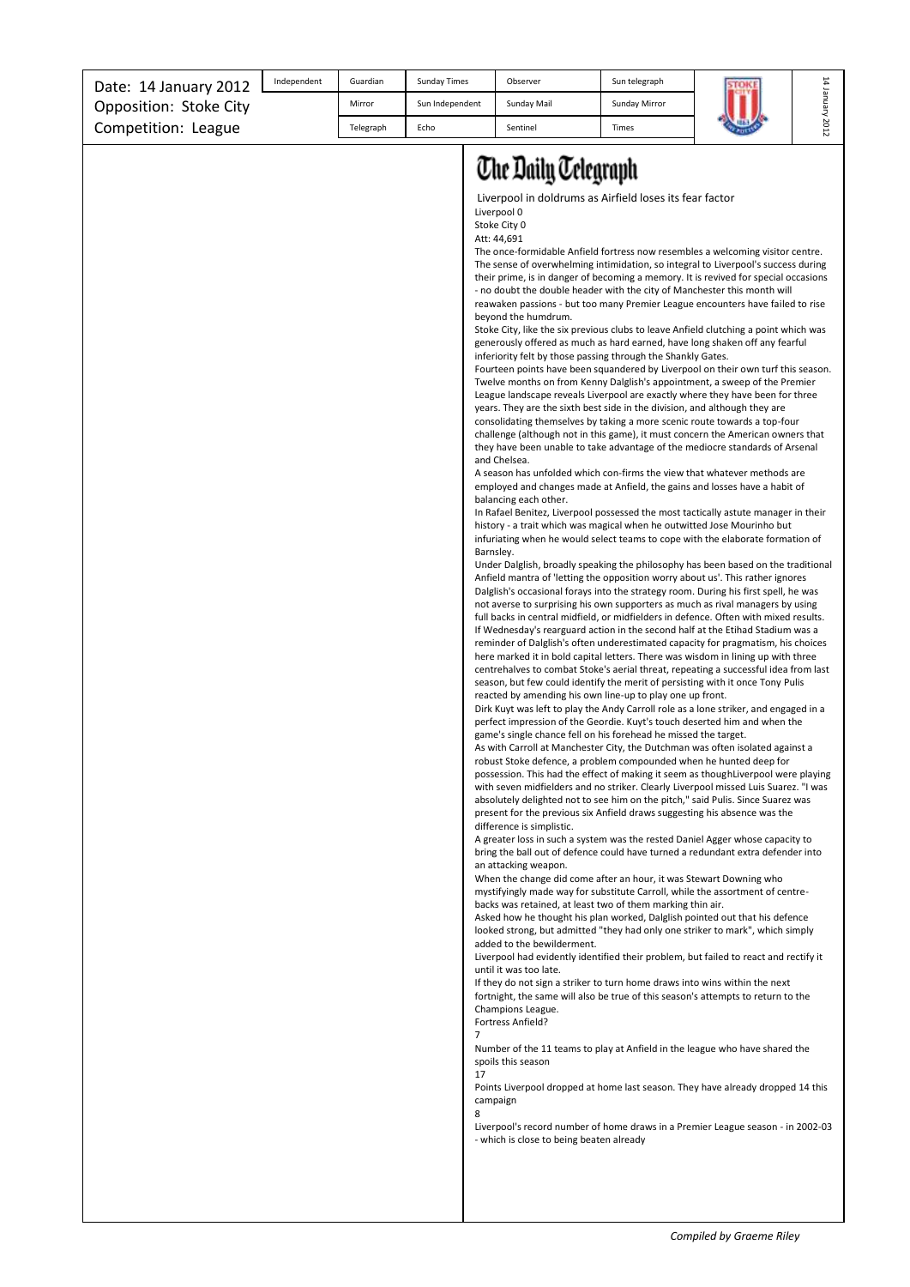| Date: 14 January 2012  | Independent | Guardian  | <b>Sunday Times</b> | Observer    | Sun telegraph | <b>STOK!</b> |  |
|------------------------|-------------|-----------|---------------------|-------------|---------------|--------------|--|
| Opposition: Stoke City |             | Mirror    | Sun Independent     | Sunday Mail | Sunday Mirror |              |  |
| Competition: League    |             | Telegraph | Echo                | Sentinel    | Times         |              |  |

## **The Daily Telegraph**

Liverpool in doldrums as Airfield loses its fear factor

Liverpool 0 Stoke City 0

Att: 44,691

The once-formidable Anfield fortress now resembles a welcoming visitor centre. The sense of overwhelming intimidation, so integral to Liverpool's success during their prime, is in danger of becoming a memory. It is revived for special occasions - no doubt the double header with the city of Manchester this month will reawaken passions - but too many Premier League encounters have failed to rise beyond the humdrum.

Stoke City, like the six previous clubs to leave Anfield clutching a point which was generously offered as much as hard earned, have long shaken off any fearful inferiority felt by those passing through the Shankly Gates.

Fourteen points have been squandered by Liverpool on their own turf this season. Twelve months on from Kenny Dalglish's appointment, a sweep of the Premier League landscape reveals Liverpool are exactly where they have been for three years. They are the sixth best side in the division, and although they are consolidating themselves by taking a more scenic route towards a top-four challenge (although not in this game), it must concern the American owners that they have been unable to take advantage of the mediocre standards of Arsenal and Chelsea.

A season has unfolded which con-firms the view that whatever methods are employed and changes made at Anfield, the gains and losses have a habit of balancing each other.

In Rafael Benitez, Liverpool possessed the most tactically astute manager in their history - a trait which was magical when he outwitted Jose Mourinho but infuriating when he would select teams to cope with the elaborate formation of Barnsley.

Under Dalglish, broadly speaking the philosophy has been based on the traditional Anfield mantra of 'letting the opposition worry about us'. This rather ignores Dalglish's occasional forays into the strategy room. During his first spell, he was not averse to surprising his own supporters as much as rival managers by using full backs in central midfield, or midfielders in defence. Often with mixed results. If Wednesday's rearguard action in the second half at the Etihad Stadium was a reminder of Dalglish's often underestimated capacity for pragmatism, his choices here marked it in bold capital letters. There was wisdom in lining up with three centrehalves to combat Stoke's aerial threat, repeating a successful idea from last season, but few could identify the merit of persisting with it once Tony Pulis reacted by amending his own line-up to play one up front. Dirk Kuyt was left to play the Andy Carroll role as a lone striker, and engaged in a

perfect impression of the Geordie. Kuyt's touch deserted him and when the game's single chance fell on his forehead he missed the target.

As with Carroll at Manchester City, the Dutchman was often isolated against a robust Stoke defence, a problem compounded when he hunted deep for possession. This had the effect of making it seem as thoughLiverpool were playing with seven midfielders and no striker. Clearly Liverpool missed Luis Suarez. "I was absolutely delighted not to see him on the pitch," said Pulis. Since Suarez was present for the previous six Anfield draws suggesting his absence was the difference is simplistic.

A greater loss in such a system was the rested Daniel Agger whose capacity to bring the ball out of defence could have turned a redundant extra defender into an attacking weapon.

When the change did come after an hour, it was Stewart Downing who mystifyingly made way for substitute Carroll, while the assortment of centrebacks was retained, at least two of them marking thin air.

Asked how he thought his plan worked, Dalglish pointed out that his defence looked strong, but admitted "they had only one striker to mark", which simply added to the bewilderment.

Liverpool had evidently identified their problem, but failed to react and rectify it until it was too late.

If they do not sign a striker to turn home draws into wins within the next fortnight, the same will also be true of this season's attempts to return to the Champions League.

Fortress Anfield?

7 Number of the 11 teams to play at Anfield in the league who have shared the spoils this season

Points Liverpool dropped at home last season. They have already dropped 14 this campaign

### 8

17

Liverpool's record number of home draws in a Premier League season - in 2002-03 - which is close to being beaten already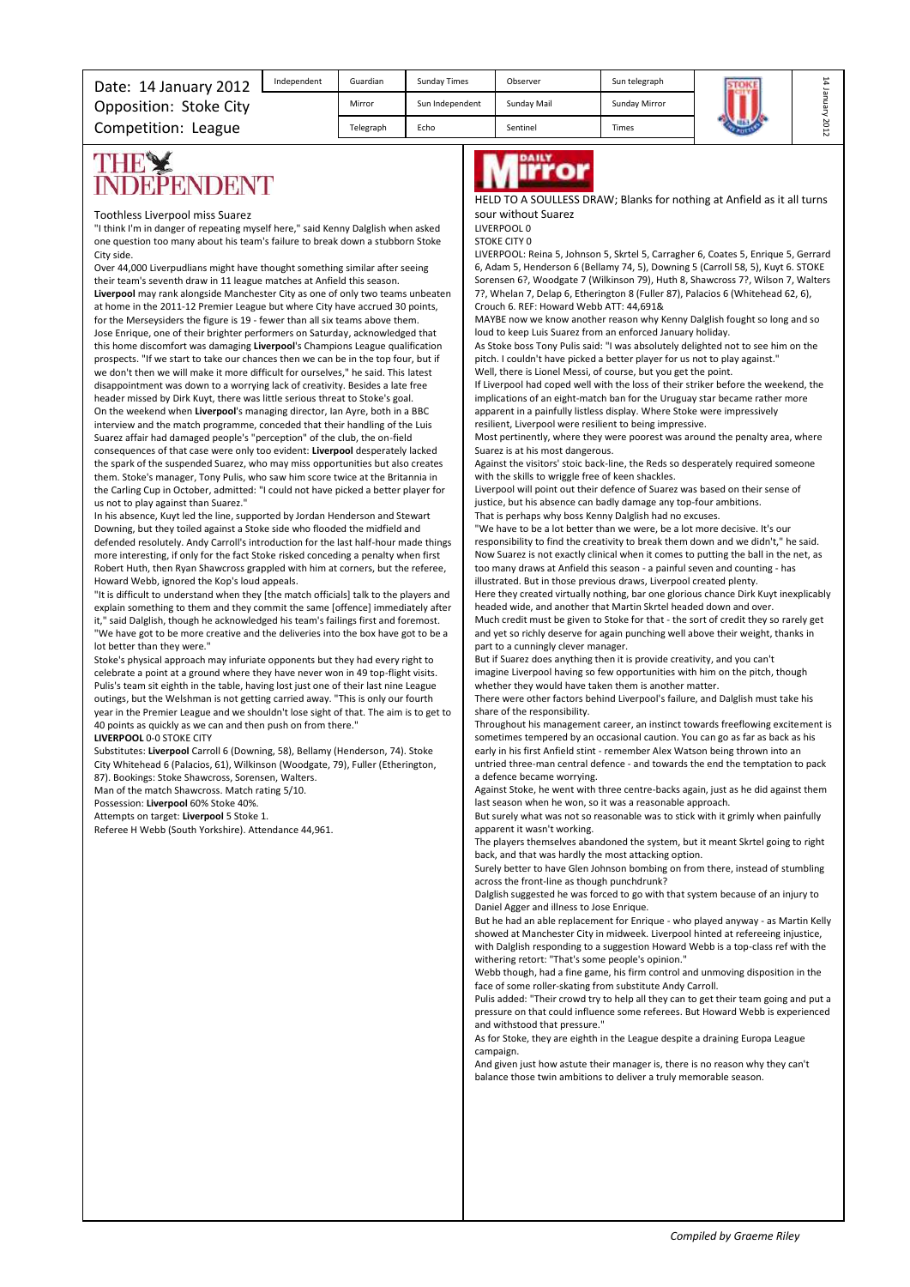| Date: 14 January 2012  | Independent | Guardian  | Sunday Times    | Observer    | Sun telegraph |          |   |
|------------------------|-------------|-----------|-----------------|-------------|---------------|----------|---|
| Opposition: Stoke City |             | Mirror    | Sun Independent | Sunday Mail | Sunday Mirror |          |   |
| Competition: League    |             | Telegraph | Echo            | Sentinel    | Times         | 2 Aug 13 | N |

# THE<sup>V</sup>

Toothless Liverpool miss Suarez

"I think I'm in danger of repeating myself here," said Kenny Dalglish when asked one question too many about his team's failure to break down a stubborn Stoke City side.

Over 44,000 Liverpudlians might have thought something similar after seeing their team's seventh draw in 11 league matches at Anfield this season. **Liverpool** may rank alongside Manchester City as one of only two teams unbeaten at home in the 2011-12 Premier League but where City have accrued 30 points, for the Merseysiders the figure is 19 - fewer than all six teams above them. Jose Enrique, one of their brighter performers on Saturday, acknowledged that this home discomfort was damaging **Liverpool**'s Champions League qualification prospects. "If we start to take our chances then we can be in the top four, but if we don't then we will make it more difficult for ourselves," he said. This latest disappointment was down to a worrying lack of creativity. Besides a late free header missed by Dirk Kuyt, there was little serious threat to Stoke's goal. On the weekend when **Liverpool**'s managing director, Ian Ayre, both in a BBC interview and the match programme, conceded that their handling of the Luis Suarez affair had damaged people's "perception" of the club, the on-field consequences of that case were only too evident: **Liverpool** desperately lacked the spark of the suspended Suarez, who may miss opportunities but also creates them. Stoke's manager, Tony Pulis, who saw him score twice at the Britannia in the Carling Cup in October, admitted: "I could not have picked a better player for us not to play against than Suarez."

In his absence, Kuyt led the line, supported by Jordan Henderson and Stewart Downing, but they toiled against a Stoke side who flooded the midfield and defended resolutely. Andy Carroll's introduction for the last half-hour made things more interesting, if only for the fact Stoke risked conceding a penalty when first Robert Huth, then Ryan Shawcross grappled with him at corners, but the referee, Howard Webb, ignored the Kop's loud appeals.

"It is difficult to understand when they [the match officials] talk to the players and explain something to them and they commit the same [offence] immediately after it," said Dalglish, though he acknowledged his team's failings first and foremost. "We have got to be more creative and the deliveries into the box have got to be a lot better than they were."

Stoke's physical approach may infuriate opponents but they had every right to celebrate a point at a ground where they have never won in 49 top-flight visits. Pulis's team sit eighth in the table, having lost just one of their last nine League outings, but the Welshman is not getting carried away. "This is only our fourth year in the Premier League and we shouldn't lose sight of that. The aim is to get to 40 points as quickly as we can and then push on from there."

**LIVERPOOL** 0-0 STOKE CITY

Substitutes: **Liverpool** Carroll 6 (Downing, 58), Bellamy (Henderson, 74). Stoke City Whitehead 6 (Palacios, 61), Wilkinson (Woodgate, 79), Fuller (Etherington, 87). Bookings: Stoke Shawcross, Sorensen, Walters.

Man of the match Shawcross. Match rating 5/10.

Possession: **Liverpool** 60% Stoke 40%.

Attempts on target: **Liverpool** 5 Stoke 1.

Referee H Webb (South Yorkshire). Attendance 44,961.



HELD TO A SOULLESS DRAW; Blanks for nothing at Anfield as it all turns sour without Suarez

LIVERPOOL 0 STOKE CITY 0

LIVERPOOL: Reina 5, Johnson 5, Skrtel 5, Carragher 6, Coates 5, Enrique 5, Gerrard 6, Adam 5, Henderson 6 (Bellamy 74, 5), Downing 5 (Carroll 58, 5), Kuyt 6. STOKE Sorensen 6?, Woodgate 7 (Wilkinson 79), Huth 8, Shawcross 7?, Wilson 7, Walters 7?, Whelan 7, Delap 6, Etherington 8 (Fuller 87), Palacios 6 (Whitehead 62, 6), Crouch 6. REF: Howard Webb ATT: 44,691&

MAYBE now we know another reason why Kenny Dalglish fought so long and so loud to keep Luis Suarez from an enforced January holiday.

As Stoke boss Tony Pulis said: "I was absolutely delighted not to see him on the pitch. I couldn't have picked a better player for us not to play against. Well, there is Lionel Messi, of course, but you get the point.

If Liverpool had coped well with the loss of their striker before the weekend, the implications of an eight-match ban for the Uruguay star became rather more apparent in a painfully listless display. Where Stoke were impressively

resilient, Liverpool were resilient to being impressive.

Most pertinently, where they were poorest was around the penalty area, where Suarez is at his most dangerous.

Against the visitors' stoic back-line, the Reds so desperately required someone with the skills to wriggle free of keen shackles.

Liverpool will point out their defence of Suarez was based on their sense of justice, but his absence can badly damage any top-four ambitions. That is perhaps why boss Kenny Dalglish had no excuses.

"We have to be a lot better than we were, be a lot more decisive. It's our

responsibility to find the creativity to break them down and we didn't," he said. Now Suarez is not exactly clinical when it comes to putting the ball in the net, as too many draws at Anfield this season - a painful seven and counting - has illustrated. But in those previous draws, Liverpool created plenty.

Here they created virtually nothing, bar one glorious chance Dirk Kuyt inexplicably headed wide, and another that Martin Skrtel headed down and over.

Much credit must be given to Stoke for that - the sort of credit they so rarely get and yet so richly deserve for again punching well above their weight, thanks in part to a cunningly clever manager.

But if Suarez does anything then it is provide creativity, and you can't imagine Liverpool having so few opportunities with him on the pitch, though whether they would have taken them is another matter.

There were other factors behind Liverpool's failure, and Dalglish must take his share of the responsibility.

Throughout his management career, an instinct towards freeflowing excitement is sometimes tempered by an occasional caution. You can go as far as back as his early in his first Anfield stint - remember Alex Watson being thrown into an

untried three-man central defence - and towards the end the temptation to pack a defence became worrying.

Against Stoke, he went with three centre-backs again, just as he did against them last season when he won, so it was a reasonable approach.

But surely what was not so reasonable was to stick with it grimly when painfully apparent it wasn't working.

The players themselves abandoned the system, but it meant Skrtel going to right back, and that was hardly the most attacking option.

Surely better to have Glen Johnson bombing on from there, instead of stumbling across the front-line as though punchdrunk?

Dalglish suggested he was forced to go with that system because of an injury to Daniel Agger and illness to Jose Enrique.

But he had an able replacement for Enrique - who played anyway - as Martin Kelly showed at Manchester City in midweek. Liverpool hinted at refereeing injustice, with Dalglish responding to a suggestion Howard Webb is a top-class ref with the

withering retort: "That's some people's opinion." Webb though, had a fine game, his firm control and unmoving disposition in the

face of some roller-skating from substitute Andy Carroll.

Pulis added: "Their crowd try to help all they can to get their team going and put a pressure on that could influence some referees. But Howard Webb is experienced and withstood that pressure."

As for Stoke, they are eighth in the League despite a draining Europa League campaign.

And given just how astute their manager is, there is no reason why they can't balance those twin ambitions to deliver a truly memorable season.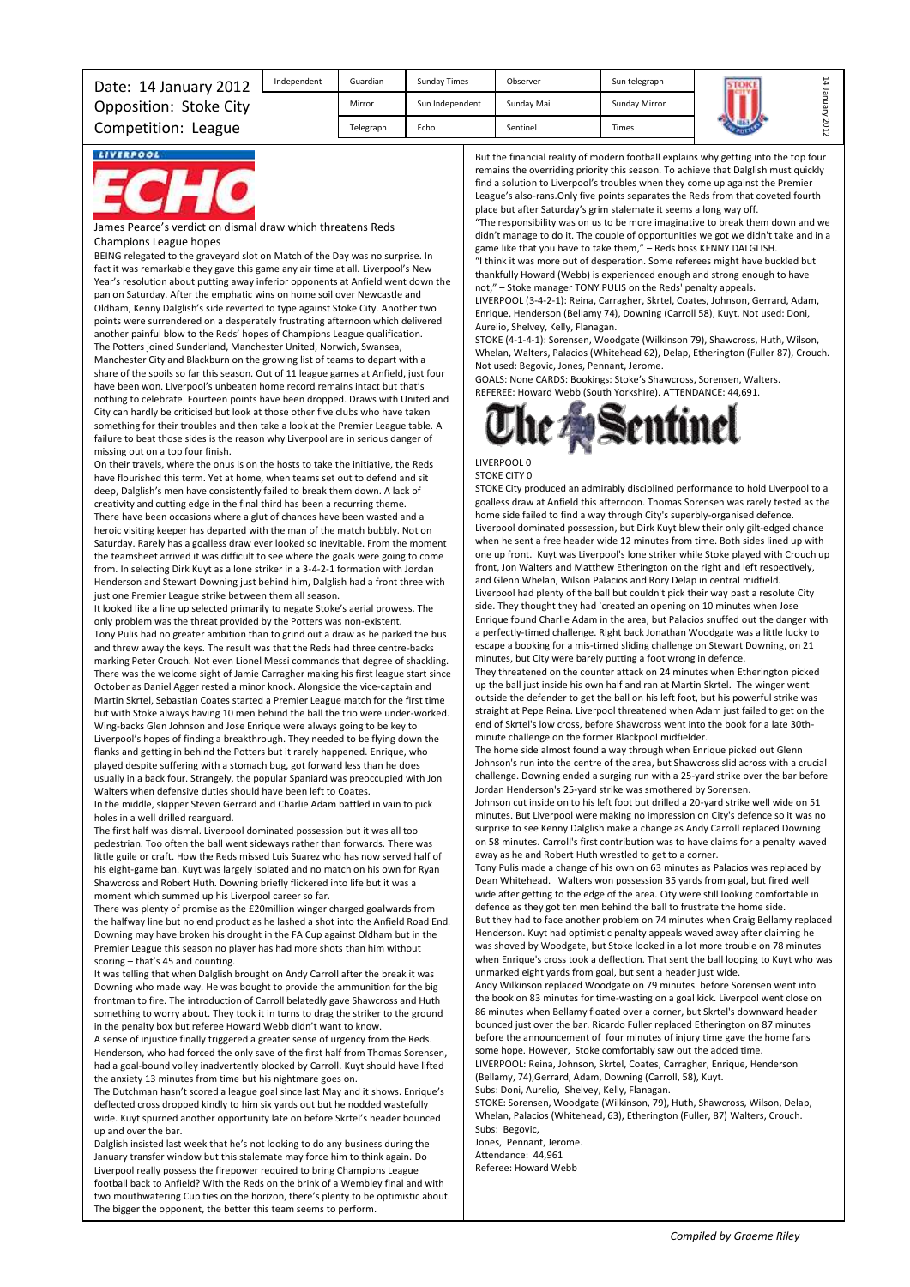| Date: 14 January 2012         | Independent | Guardian  | <b>Sunday Times</b> | Observer    | Sun telegraph |                       |   |
|-------------------------------|-------------|-----------|---------------------|-------------|---------------|-----------------------|---|
| <b>Opposition: Stoke City</b> |             | Mirror    | Sun Independent     | Sunday Mail | Sunday Mirror |                       |   |
| Competition: League           |             | Telegraph | Echo                | Sentinel    | <b>Times</b>  | <b><i>CENTRES</i></b> | N |



James Pearce's verdict on dismal draw which threatens Reds Champions League hopes

BEING relegated to the graveyard slot on Match of the Day was no surprise. In fact it was remarkable they gave this game any air time at all. Liverpool's New Year's resolution about putting away inferior opponents at Anfield went down the pan on Saturday. After the emphatic wins on home soil over Newcastle and Oldham, Kenny Dalglish's side reverted to type against Stoke City. Another two points were surrendered on a desperately frustrating afternoon which delivered another painful blow to the Reds' hopes of Champions League qualification. The Potters joined Sunderland, Manchester United, Norwich, Swansea, Manchester City and Blackburn on the growing list of teams to depart with a share of the spoils so far this season. Out of 11 league games at Anfield, just four have been won. Liverpool's unbeaten home record remains intact but that's nothing to celebrate. Fourteen points have been dropped. Draws with United and City can hardly be criticised but look at those other five clubs who have taken something for their troubles and then take a look at the Premier League table. A failure to beat those sides is the reason why Liverpool are in serious danger of missing out on a top four finish.

On their travels, where the onus is on the hosts to take the initiative, the Reds have flourished this term. Yet at home, when teams set out to defend and sit deep, Dalglish's men have consistently failed to break them down. A lack of creativity and cutting edge in the final third has been a recurring theme. There have been occasions where a glut of chances have been wasted and a heroic visiting keeper has departed with the man of the match bubbly. Not on Saturday. Rarely has a goalless draw ever looked so inevitable. From the moment the teamsheet arrived it was difficult to see where the goals were going to come from. In selecting Dirk Kuyt as a lone striker in a 3-4-2-1 formation with Jordan Henderson and Stewart Downing just behind him, Dalglish had a front three with just one Premier League strike between them all season.

It looked like a line up selected primarily to negate Stoke's aerial prowess. The only problem was the threat provided by the Potters was non-existent. Tony Pulis had no greater ambition than to grind out a draw as he parked the bus and threw away the keys. The result was that the Reds had three centre-backs marking Peter Crouch. Not even Lionel Messi commands that degree of shackling. There was the welcome sight of Jamie Carragher making his first league start since October as Daniel Agger rested a minor knock. Alongside the vice-captain and Martin Skrtel, Sebastian Coates started a Premier League match for the first time but with Stoke always having 10 men behind the ball the trio were under-worked. Wing-backs Glen Johnson and Jose Enrique were always going to be key to Liverpool's hopes of finding a breakthrough. They needed to be flying down the flanks and getting in behind the Potters but it rarely hannened. Enrique, who played despite suffering with a stomach bug, got forward less than he does usually in a back four. Strangely, the popular Spaniard was preoccupied with Jon Walters when defensive duties should have been left to Coates. In the middle, skipper Steven Gerrard and Charlie Adam battled in vain to pick holes in a well drilled rearguard.

The first half was dismal. Liverpool dominated possession but it was all too pedestrian. Too often the ball went sideways rather than forwards. There was little guile or craft. How the Reds missed Luis Suarez who has now served half of his eight-game ban. Kuyt was largely isolated and no match on his own for Ryan Shawcross and Robert Huth. Downing briefly flickered into life but it was a moment which summed up his Liverpool career so far.

There was plenty of promise as the £20million winger charged goalwards from the halfway line but no end product as he lashed a shot into the Anfield Road End. Downing may have broken his drought in the FA Cup against Oldham but in the Premier League this season no player has had more shots than him without scoring – that's 45 and counting.

It was telling that when Dalglish brought on Andy Carroll after the break it was Downing who made way. He was bought to provide the ammunition for the big frontman to fire. The introduction of Carroll belatedly gave Shawcross and Huth something to worry about. They took it in turns to drag the striker to the ground in the penalty box but referee Howard Webb didn't want to know.

A sense of injustice finally triggered a greater sense of urgency from the Reds. Henderson, who had forced the only save of the first half from Thomas Sorensen, had a goal-bound volley inadvertently blocked by Carroll. Kuyt should have lifted the anxiety 13 minutes from time but his nightmare goes on.

The Dutchman hasn't scored a league goal since last May and it shows. Enrique's deflected cross dropped kindly to him six yards out but he nodded wastefully wide. Kuyt spurned another opportunity late on before Skrtel's header bounced up and over the bar.

Dalglish insisted last week that he's not looking to do any business during the January transfer window but this stalemate may force him to think again. Do Liverpool really possess the firepower required to bring Champions League football back to Anfield? With the Reds on the brink of a Wembley final and with two mouthwatering Cup ties on the horizon, there's plenty to be optimistic about. The bigger the opponent, the better this team seems to perform.

But the financial reality of modern football explains why getting into the top four remains the overriding priority this season. To achieve that Dalglish must quickly find a solution to Liverpool's troubles when they come up against the Premier League's also-rans.Only five points separates the Reds from that coveted fourth place but after Saturday's grim stalemate it seems a long way off.

"The responsibility was on us to be more imaginative to break them down and we didn't manage to do it. The couple of opportunities we got we didn't take and in a game like that you have to take them," – Reds boss KENNY DALGLISH. "I think it was more out of desperation. Some referees might have buckled but thankfully Howard (Webb) is experienced enough and strong enough to have not," – Stoke manager TONY PULIS on the Reds' penalty appeals.

LIVERPOOL (3-4-2-1): Reina, Carragher, Skrtel, Coates, Johnson, Gerrard, Adam, Enrique, Henderson (Bellamy 74), Downing (Carroll 58), Kuyt. Not used: Doni, Aurelio, Shelvey, Kelly, Flanagan.

STOKE (4-1-4-1): Sorensen, Woodgate (Wilkinson 79), Shawcross, Huth, Wilson, Whelan, Walters, Palacios (Whitehead 62), Delap, Etherington (Fuller 87), Crouch. Not used: Begovic, Jones, Pennant, Jerome.

GOALS: None CARDS: Bookings: Stoke's Shawcross, Sorensen, Walters. REFEREE: Howard Webb (South Yorkshire). ATTENDANCE: 44,691.



#### LIVERPOOL 0 STOKE CITY 0

STOKE City produced an admirably disciplined performance to hold Liverpool to a goalless draw at Anfield this afternoon. Thomas Sorensen was rarely tested as the home side failed to find a way through City's superbly-organised defence. Liverpool dominated possession, but Dirk Kuyt blew their only gilt-edged chance when he sent a free header wide 12 minutes from time. Both sides lined up with one up front. Kuyt was Liverpool's lone striker while Stoke played with Crouch up front, Jon Walters and Matthew Etherington on the right and left respectively, and Glenn Whelan, Wilson Palacios and Rory Delap in central midfield. Liverpool had plenty of the ball but couldn't pick their way past a resolute City side. They thought they had `created an opening on 10 minutes when Jose Enrique found Charlie Adam in the area, but Palacios snuffed out the danger with a perfectly-timed challenge. Right back Jonathan Woodgate was a little lucky to escape a booking for a mis-timed sliding challenge on Stewart Downing, on 21 minutes, but City were barely putting a foot wrong in defence.

They threatened on the counter attack on 24 minutes when Etherington picked up the ball just inside his own half and ran at Martin Skrtel. The winger went outside the defender to get the ball on his left foot, but his powerful strike was straight at Pepe Reina. Liverpool threatened when Adam just failed to get on the end of Skrtel's low cross, before Shawcross went into the book for a late 30thminute challenge on the former Blackpool midfielder.

The home side almost found a way through when Enrique picked out Glenn Johnson's run into the centre of the area, but Shawcross slid across with a crucial challenge. Downing ended a surging run with a 25-yard strike over the bar before Jordan Henderson's 25-yard strike was smothered by Sorensen.

Johnson cut inside on to his left foot but drilled a 20-yard strike well wide on 51 minutes. But Liverpool were making no impression on City's defence so it was no surprise to see Kenny Dalglish make a change as Andy Carroll replaced Downing on 58 minutes. Carroll's first contribution was to have claims for a penalty waved away as he and Robert Huth wrestled to get to a corner.

Tony Pulis made a change of his own on 63 minutes as Palacios was replaced by Dean Whitehead. Walters won possession 35 yards from goal, but fired well wide after getting to the edge of the area. City were still looking comfortable in defence as they got ten men behind the ball to frustrate the home side. But they had to face another problem on 74 minutes when Craig Bellamy replaced Henderson. Kuyt had optimistic penalty appeals waved away after claiming he was shoved by Woodgate, but Stoke looked in a lot more trouble on 78 minutes when Enrique's cross took a deflection. That sent the ball looping to Kuyt who was unmarked eight yards from goal, but sent a header just wide.

Andy Wilkinson replaced Woodgate on 79 minutes before Sorensen went into the book on 83 minutes for time-wasting on a goal kick. Liverpool went close on 86 minutes when Bellamy floated over a corner, but Skrtel's downward header bounced just over the bar. Ricardo Fuller replaced Etherington on 87 minutes before the announcement of four minutes of injury time gave the home fans some hope. However, Stoke comfortably saw out the added time. LIVERPOOL: Reina, Johnson, Skrtel, Coates, Carragher, Enrique, Henderson (Bellamy, 74),Gerrard, Adam, Downing (Carroll, 58), Kuyt.

Subs: Doni, Aurelio, Shelvey, Kelly, Flanagan.

STOKE: Sorensen, Woodgate (Wilkinson, 79), Huth, Shawcross, Wilson, Delap, Whelan, Palacios (Whitehead, 63), Etherington (Fuller, 87) Walters, Crouch. Subs: Begovic,

Jones, Pennant, Jerome. Attendance: 44,961 Referee: Howard Webb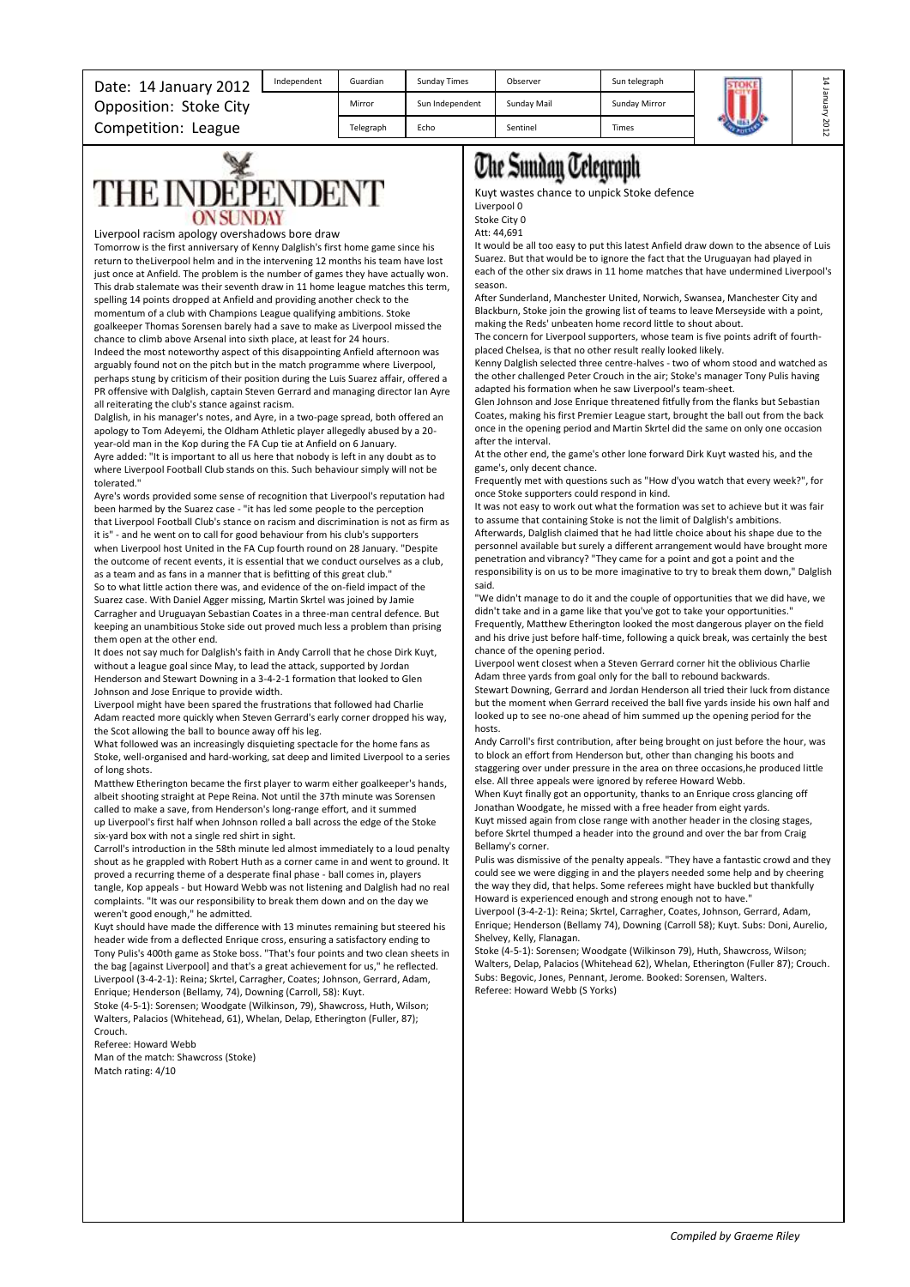| Date: 14 January 2012  | Independent | Guardian  | Sunday Times    | Observer    | Sun telegraph |                |  |
|------------------------|-------------|-----------|-----------------|-------------|---------------|----------------|--|
| Opposition: Stoke City |             | Mirror    | Sun Independent | Sundav Mail | Sunday Mirror |                |  |
| Competition: League    |             | Telegraph | Echo            | Sentinel    | <b>Times</b>  | <b>CENTRAL</b> |  |

# THE INDEPENDENT

Liverpool racism apology overshadows bore draw

Tomorrow is the first anniversary of Kenny Dalglish's first home game since his return to theLiverpool helm and in the intervening 12 months his team have lost just once at Anfield. The problem is the number of games they have actually won. This drab stalemate was their seventh draw in 11 home league matches this term, spelling 14 points dropped at Anfield and providing another check to the momentum of a club with Champions League qualifying ambitions. Stoke goalkeeper Thomas Sorensen barely had a save to make as Liverpool missed the chance to climb above Arsenal into sixth place, at least for 24 hours.

Indeed the most noteworthy aspect of this disappointing Anfield afternoon was arguably found not on the pitch but in the match programme where Liverpool, perhaps stung by criticism of their position during the Luis Suarez affair, offered a PR offensive with Dalglish, captain Steven Gerrard and managing director Ian Ayre all reiterating the club's stance against racism.

Dalglish, in his manager's notes, and Ayre, in a two-page spread, both offered an apology to Tom Adeyemi, the Oldham Athletic player allegedly abused by a 20 year-old man in the Kop during the FA Cup tie at Anfield on 6 January. Ayre added: "It is important to all us here that nobody is left in any doubt as to where Liverpool Football Club stands on this. Such behaviour simply will not be

tolerated." Ayre's words provided some sense of recognition that Liverpool's reputation had been harmed by the Suarez case - "it has led some people to the perception

that Liverpool Football Club's stance on racism and discrimination is not as firm as it is" - and he went on to call for good behaviour from his club's supporters when Liverpool host United in the FA Cup fourth round on 28 January. "Despite the outcome of recent events, it is essential that we conduct ourselves as a club, as a team and as fans in a manner that is befitting of this great club."

So to what little action there was, and evidence of the on-field impact of the Suarez case. With Daniel Agger missing, Martin Skrtel was joined by Jamie Carragher and Uruguayan Sebastian Coates in a three-man central defence. But keeping an unambitious Stoke side out proved much less a problem than prising them open at the other end.

It does not say much for Dalglish's faith in Andy Carroll that he chose Dirk Kuyt, without a league goal since May, to lead the attack, supported by Jordan Henderson and Stewart Downing in a 3-4-2-1 formation that looked to Glen Johnson and Jose Enrique to provide width.

Liverpool might have been spared the frustrations that followed had Charlie Adam reacted more quickly when Steven Gerrard's early corner dropped his way, the Scot allowing the ball to bounce away off his leg.

What followed was an increasingly disquieting spectacle for the home fans as Stoke, well-organised and hard-working, sat deep and limited Liverpool to a series of long shots.

Matthew Etherington became the first player to warm either goalkeeper's hands, albeit shooting straight at Pepe Reina. Not until the 37th minute was Sorensen called to make a save, from Henderson's long-range effort, and it summed up Liverpool's first half when Johnson rolled a ball across the edge of the Stoke six-yard box with not a single red shirt in sight.

Carroll's introduction in the 58th minute led almost immediately to a loud penalty shout as he grappled with Robert Huth as a corner came in and went to ground. It proved a recurring theme of a desperate final phase - ball comes in, players tangle, Kop appeals - but Howard Webb was not listening and Dalglish had no real complaints. "It was our responsibility to break them down and on the day we weren't good enough," he admitted.

Kuyt should have made the difference with 13 minutes remaining but steered his header wide from a deflected Enrique cross, ensuring a satisfactory ending to Tony Pulis's 400th game as Stoke boss. "That's four points and two clean sheets in the bag [against Liverpool] and that's a great achievement for us," he reflected. Liverpool (3-4-2-1): Reina; Skrtel, Carragher, Coates; Johnson, Gerrard, Adam, Enrique; Henderson (Bellamy, 74), Downing (Carroll, 58): Kuyt.

Stoke (4-5-1): Sorensen; Woodgate (Wilkinson, 79), Shawcross, Huth, Wilson; Walters, Palacios (Whitehead, 61), Whelan, Delap, Etherington (Fuller, 87); Crouch.

Referee: Howard Webb Man of the match: Shawcross (Stoke) Match rating: 4/10

## **The Sunday Telegraph**

Kuyt wastes chance to unpick Stoke defence

Liverpool 0 Stoke City 0

Att: 44,691

It would be all too easy to put this latest Anfield draw down to the absence of Luis Suarez. But that would be to ignore the fact that the Uruguayan had played in each of the other six draws in 11 home matches that have undermined Liverpool's season.

After Sunderland, Manchester United, Norwich, Swansea, Manchester City and Blackburn, Stoke join the growing list of teams to leave Merseyside with a point, making the Reds' unbeaten home record little to shout about.

The concern for Liverpool supporters, whose team is five points adrift of fourthplaced Chelsea, is that no other result really looked likely.

Kenny Dalglish selected three centre-halves - two of whom stood and watched as the other challenged Peter Crouch in the air; Stoke's manager Tony Pulis having adapted his formation when he saw Liverpool's team-sheet.

Glen Johnson and Jose Enrique threatened fitfully from the flanks but Sebastian Coates, making his first Premier League start, brought the ball out from the back once in the opening period and Martin Skrtel did the same on only one occasion after the interval.

At the other end, the game's other lone forward Dirk Kuyt wasted his, and the game's, only decent chance.

Frequently met with questions such as "How d'you watch that every week?", for once Stoke supporters could respond in kind.

It was not easy to work out what the formation was set to achieve but it was fair to assume that containing Stoke is not the limit of Dalglish's ambitions.

Afterwards, Dalglish claimed that he had little choice about his shape due to the personnel available but surely a different arrangement would have brought more penetration and vibrancy? "They came for a point and got a point and the

responsibility is on us to be more imaginative to try to break them down," Dalglish said.

"We didn't manage to do it and the couple of opportunities that we did have, we didn't take and in a game like that you've got to take your opportunities."

Frequently, Matthew Etherington looked the most dangerous player on the field and his drive just before half-time, following a quick break, was certainly the best chance of the opening period.

Liverpool went closest when a Steven Gerrard corner hit the oblivious Charlie Adam three yards from goal only for the ball to rebound backwards. Stewart Downing, Gerrard and Jordan Henderson all tried their luck from distance but the moment when Gerrard received the ball five yards inside his own half and looked up to see no-one ahead of him summed up the opening period for the hosts.

Andy Carroll's first contribution, after being brought on just before the hour, was to block an effort from Henderson but, other than changing his boots and staggering over under pressure in the area on three occasions,he produced little else. All three appeals were ignored by referee Howard Webb.

When Kuyt finally got an opportunity, thanks to an Enrique cross glancing off Jonathan Woodgate, he missed with a free header from eight yards. Kuyt missed again from close range with another header in the closing stages,

before Skrtel thumped a header into the ground and over the bar from Craig Bellamy's corner. Pulis was dismissive of the penalty appeals. "They have a fantastic crowd and they

could see we were digging in and the players needed some help and by cheering the way they did, that helps. Some referees might have buckled but thankfully Howard is experienced enough and strong enough not to have."

Liverpool (3-4-2-1): Reina; Skrtel, Carragher, Coates, Johnson, Gerrard, Adam, Enrique; Henderson (Bellamy 74), Downing (Carroll 58); Kuyt. Subs: Doni, Aurelio, Shelvey, Kelly, Flanagan.

Stoke (4-5-1): Sorensen; Woodgate (Wilkinson 79), Huth, Shawcross, Wilson; Walters, Delap, Palacios (Whitehead 62), Whelan, Etherington (Fuller 87); Crouch. Subs: Begovic, Jones, Pennant, Jerome. Booked: Sorensen, Walters. Referee: Howard Webb (S Yorks)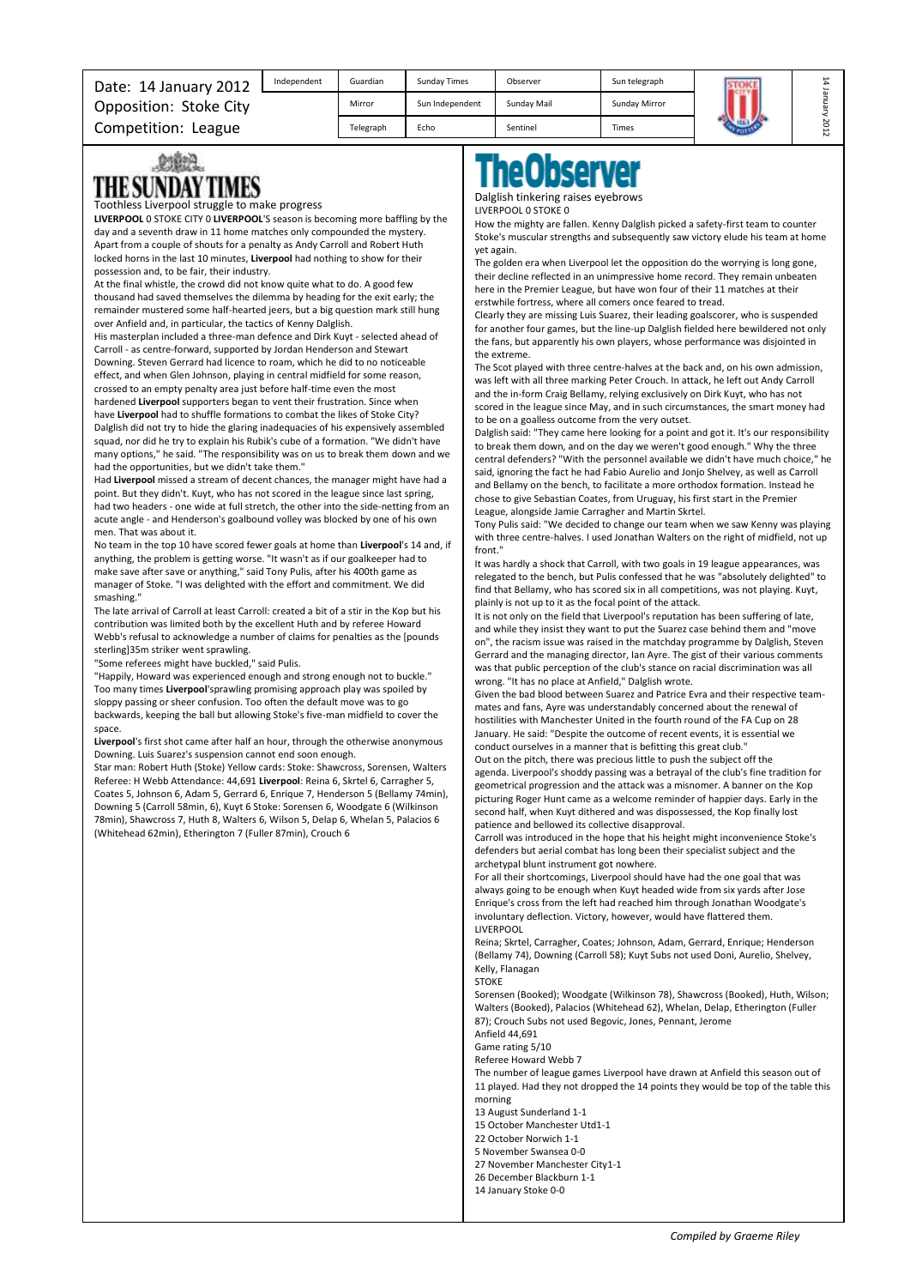| Date: 14 January 2012         | Independent | Guardian  | <b>Sunday Times</b> | Observer    | Sun telegraph | <b>STOI</b> |  |
|-------------------------------|-------------|-----------|---------------------|-------------|---------------|-------------|--|
| <b>Opposition: Stoke City</b> |             | Mirror    | Sun Independent     | Sunday Mail | Sunday Mirror |             |  |
| Competition: League           |             | Telegraph | Echo                | Sentinel    | Times         |             |  |

### $2562$ THE SUNDAY TIMES Toothless Liverpool struggle to make progress

**LIVERPOOL** 0 STOKE CITY 0 **LIVERPOOL**'S season is becoming more baffling by the day and a seventh draw in 11 home matches only compounded the mystery. Apart from a couple of shouts for a penalty as Andy Carroll and Robert Huth locked horns in the last 10 minutes, **Liverpool** had nothing to show for their possession and, to be fair, their industry.

At the final whistle, the crowd did not know quite what to do. A good few thousand had saved themselves the dilemma by heading for the exit early; the remainder mustered some half-hearted jeers, but a big question mark still hung over Anfield and, in particular, the tactics of Kenny Dalglish.

His masterplan included a three-man defence and Dirk Kuyt - selected ahead of Carroll - as centre-forward, supported by Jordan Henderson and Stewart Downing. Steven Gerrard had licence to roam, which he did to no noticeable effect, and when Glen Johnson, playing in central midfield for some reason, crossed to an empty penalty area just before half-time even the most

hardened **Liverpool** supporters began to vent their frustration. Since when have **Liverpool** had to shuffle formations to combat the likes of Stoke City? Dalglish did not try to hide the glaring inadequacies of his expensively assembled squad, nor did he try to explain his Rubik's cube of a formation. "We didn't have many options," he said. "The responsibility was on us to break them down and we had the opportunities, but we didn't take them."

Had **Liverpool** missed a stream of decent chances, the manager might have had a point. But they didn't. Kuyt, who has not scored in the league since last spring, had two headers - one wide at full stretch, the other into the side-netting from an acute angle - and Henderson's goalbound volley was blocked by one of his own men. That was about it.

No team in the top 10 have scored fewer goals at home than **Liverpool**'s 14 and, if anything, the problem is getting worse. "It wasn't as if our goalkeeper had to make save after save or anything," said Tony Pulis, after his 400th game as manager of Stoke. "I was delighted with the effort and commitment. We did smashing."

The late arrival of Carroll at least Carroll: created a bit of a stir in the Kop but his contribution was limited both by the excellent Huth and by referee Howard Webb's refusal to acknowledge a number of claims for penalties as the [pounds sterling]35m striker went sprawling.

"Some referees might have buckled," said Pulis.

"Happily, Howard was experienced enough and strong enough not to buckle." Too many times **Liverpool**'sprawling promising approach play was spoiled by sloppy passing or sheer confusion. Too often the default move was to go backwards, keeping the ball but allowing Stoke's five-man midfield to cover the space.

**Liverpool**'s first shot came after half an hour, through the otherwise anonymous Downing. Luis Suarez's suspension cannot end soon enough.

Star man: Robert Huth (Stoke) Yellow cards: Stoke: Shawcross, Sorensen, Walters Referee: H Webb Attendance: 44,691 **Liverpool**: Reina 6, Skrtel 6, Carragher 5, Coates 5, Johnson 6, Adam 5, Gerrard 6, Enrique 7, Henderson 5 (Bellamy 74min), Downing 5 (Carroll 58min, 6), Kuyt 6 Stoke: Sorensen 6, Woodgate 6 (Wilkinson 78min), Shawcross 7, Huth 8, Walters 6, Wilson 5, Delap 6, Whelan 5, Palacios 6 (Whitehead 62min), Etherington 7 (Fuller 87min), Crouch 6

### eObserver Dalglish tinkering raises eyebrows

LIVERPOOL 0 STOKE 0

How the mighty are fallen. Kenny Dalglish picked a safety-first team to counter Stoke's muscular strengths and subsequently saw victory elude his team at home yet again.

The golden era when Liverpool let the opposition do the worrying is long gone, their decline reflected in an unimpressive home record. They remain unbeaten here in the Premier League, but have won four of their 11 matches at their erstwhile fortress, where all comers once feared to tread.

Clearly they are missing Luis Suarez, their leading goalscorer, who is suspended for another four games, but the line-up Dalglish fielded here bewildered not only the fans, but apparently his own players, whose performance was disjointed in the extreme.

The Scot played with three centre-halves at the back and, on his own admission, was left with all three marking Peter Crouch. In attack, he left out Andy Carroll and the in-form Craig Bellamy, relying exclusively on Dirk Kuyt, who has not scored in the league since May, and in such circumstances, the smart money had to be on a goalless outcome from the very outset.

Dalglish said: "They came here looking for a point and got it. It's our responsibility to break them down, and on the day we weren't good enough." Why the three central defenders? "With the personnel available we didn't have much choice," he said, ignoring the fact he had Fabio Aurelio and Jonjo Shelvey, as well as Carroll and Bellamy on the bench, to facilitate a more orthodox formation. Instead he chose to give Sebastian Coates, from Uruguay, his first start in the Premier League, alongside Jamie Carragher and Martin Skrtel.

Tony Pulis said: "We decided to change our team when we saw Kenny was playing with three centre-halves. I used Jonathan Walters on the right of midfield, not up front<sup>'</sup>

It was hardly a shock that Carroll, with two goals in 19 league appearances, was relegated to the bench, but Pulis confessed that he was "absolutely delighted" to find that Bellamy, who has scored six in all competitions, was not playing. Kuyt, plainly is not up to it as the focal point of the attack.

It is not only on the field that Liverpool's reputation has been suffering of late, and while they insist they want to put the Suarez case behind them and "move on", the racism issue was raised in the matchday programme by Dalglish, Steven Gerrard and the managing director, Ian Ayre. The gist of their various comments was that public perception of the club's stance on racial discrimination was all wrong. "It has no place at Anfield," Dalglish wrote.

Given the bad blood between Suarez and Patrice Evra and their respective teammates and fans, Ayre was understandably concerned about the renewal of hostilities with Manchester United in the fourth round of the FA Cup on 28 January. He said: "Despite the outcome of recent events, it is essential we conduct ourselves in a manner that is befitting this great club."

Out on the pitch, there was precious little to push the subject off the agenda. Liverpool's shoddy passing was a betrayal of the club's fine tradition for geometrical progression and the attack was a misnomer. A banner on the Kop picturing Roger Hunt came as a welcome reminder of happier days. Early in the second half, when Kuyt dithered and was dispossessed, the Kop finally lost patience and bellowed its collective disapproval.

Carroll was introduced in the hope that his height might inconvenience Stoke's defenders but aerial combat has long been their specialist subject and the archetypal blunt instrument got nowhere.

For all their shortcomings, Liverpool should have had the one goal that was always going to be enough when Kuyt headed wide from six yards after Jose Enrique's cross from the left had reached him through Jonathan Woodgate's involuntary deflection. Victory, however, would have flattered them. LIVERPOOL

Reina; Skrtel, Carragher, Coates; Johnson, Adam, Gerrard, Enrique; Henderson (Bellamy 74), Downing (Carroll 58); Kuyt Subs not used Doni, Aurelio, Shelvey, Kelly, Flanagan

STOKE

Sorensen (Booked); Woodgate (Wilkinson 78), Shawcross (Booked), Huth, Wilson; Walters (Booked), Palacios (Whitehead 62), Whelan, Delap, Etherington (Fuller 87); Crouch Subs not used Begovic, Jones, Pennant, Jerome

Anfield 44,691

Game rating 5/10

Referee Howard Webb 7

The number of league games Liverpool have drawn at Anfield this season out of 11 played. Had they not dropped the 14 points they would be top of the table this morning

13 August Sunderland 1-1

15 October Manchester Utd1-1

22 October Norwich 1-1 5 November Swansea 0-0

27 November Manchester City1-1

26 December Blackburn 1-1

14 January Stoke 0-0